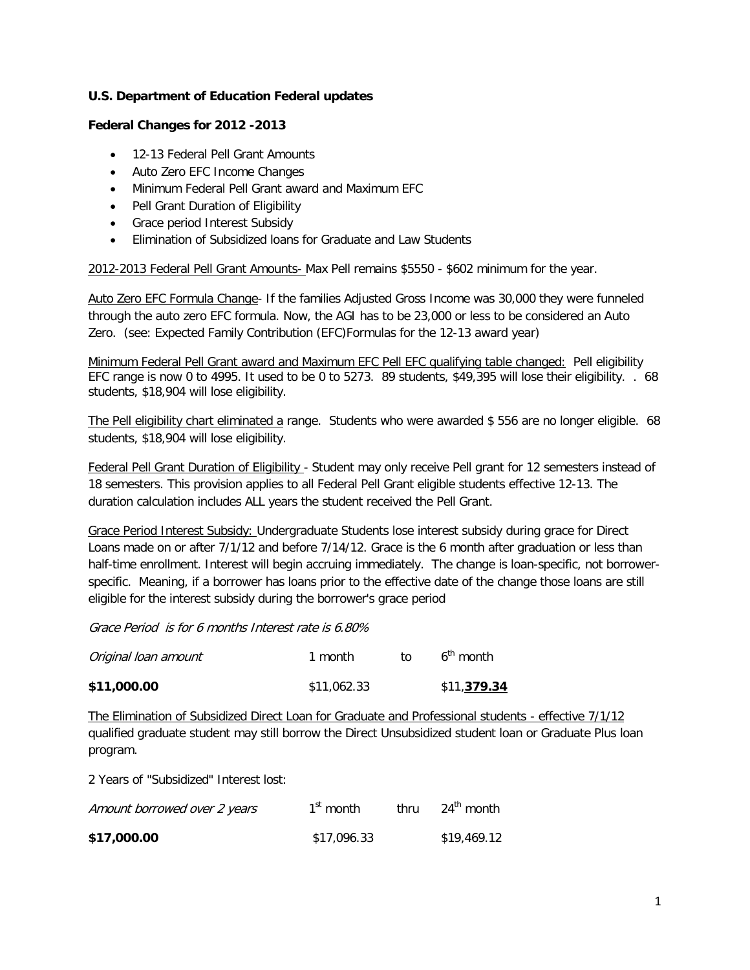## **U.S. Department of Education Federal updates**

### **Federal Changes for 2012 -2013**

- 12-13 Federal Pell Grant Amounts
- Auto Zero EFC Income Changes
- Minimum Federal Pell Grant award and Maximum EFC
- Pell Grant Duration of Eligibility
- Grace period Interest Subsidy
- Elimination of Subsidized loans for Graduate and Law Students

2012-2013 Federal Pell Grant Amounts- Max Pell remains \$5550 - \$602 minimum for the year.

Auto Zero EFC Formula Change- If the families Adjusted Gross Income was 30,000 they were funneled through the auto zero EFC formula. Now, the AGI has to be 23,000 or less to be considered an Auto Zero. (see: Expected Family Contribution (EFC)Formulas for the 12-13 award year)

Minimum Federal Pell Grant award and Maximum EFC Pell EFC qualifying table changed: Pell eligibility EFC range is now 0 to 4995. It used to be 0 to 5273. 89 students, \$49,395 will lose their eligibility. . 68 students, \$18,904 will lose eligibility.

The Pell eligibility chart eliminated a range. Students who were awarded \$556 are no longer eligible. 68 students, \$18,904 will lose eligibility.

Federal Pell Grant Duration of Eligibility - Student may only receive Pell grant for 12 semesters instead of 18 semesters. This provision applies to all Federal Pell Grant eligible students effective 12-13. The duration calculation includes ALL years the student received the Pell Grant.

Grace Period Interest Subsidy: Undergraduate Students lose interest subsidy during grace for Direct Loans made on or after 7/1/12 and before 7/14/12. Grace is the 6 month after graduation or less than half-time enrollment. Interest will begin accruing immediately. The change is loan-specific, not borrowerspecific. Meaning, if a borrower has loans prior to the effective date of the change those loans are still eligible for the interest subsidy during the borrower's grace period

Grace Period is for 6 months Interest rate is 6.80%

| \$11,000.00          | \$11,062.33 |    | \$11,379.34 |
|----------------------|-------------|----|-------------|
| Original loan amount | 1 month     | tΩ | $6th$ month |

The Elimination of Subsidized Direct Loan for Graduate and Professional students - effective 7/1/12 qualified graduate student may still borrow the Direct Unsubsidized student loan or Graduate Plus loan program.

2 Years of "Subsidized" Interest lost:

| Amount borrowed over 2 years | $1st$ month | thru | 24 <sup>th</sup> month |
|------------------------------|-------------|------|------------------------|
| \$17,000.00                  | \$17,096.33 |      | \$19,469.12            |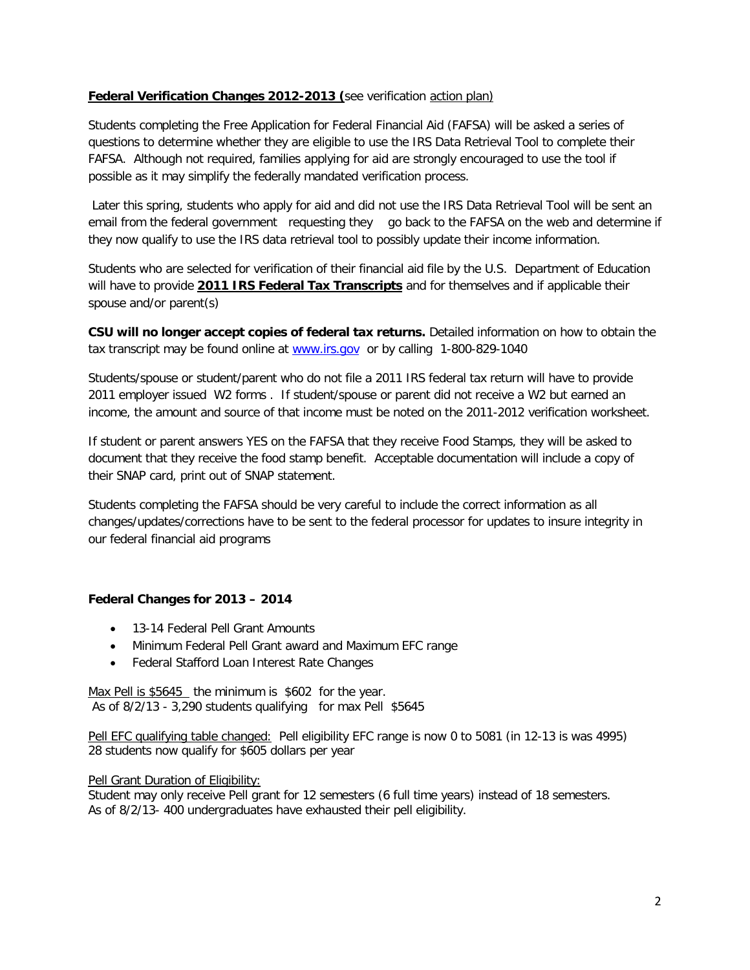## **Federal Verification Changes 2012-2013 (**see verification action plan)

Students completing the Free Application for Federal Financial Aid (FAFSA) will be asked a series of questions to determine whether they are eligible to use the IRS Data Retrieval Tool to complete their FAFSA. Although not required, families applying for aid are strongly encouraged to use the tool if possible as it may simplify the federally mandated verification process.

Later this spring, students who apply for aid and did not use the IRS Data Retrieval Tool will be sent an email from the federal government requesting they go back to the FAFSA on the web and determine if they now qualify to use the IRS data retrieval tool to possibly update their income information.

Students who are selected for verification of their financial aid file by the U.S. Department of Education will have to provide **2011 IRS Federal Tax Transcripts** and for themselves and if applicable their spouse and/or parent(s)

**CSU will no longer accept copies of federal tax returns.** Detailed information on how to obtain the tax transcript may be found online at [www.irs.gov](http://www.irs.gov/) or by calling 1-800-829-1040

Students/spouse or student/parent who do not file a 2011 IRS federal tax return will have to provide 2011 employer issued W2 forms . If student/spouse or parent did not receive a W2 but earned an income, the amount and source of that income must be noted on the 2011-2012 verification worksheet.

If student or parent answers YES on the FAFSA that they receive Food Stamps, they will be asked to document that they receive the food stamp benefit. Acceptable documentation will include a copy of their SNAP card, print out of SNAP statement.

Students completing the FAFSA should be very careful to include the correct information as all changes/updates/corrections have to be sent to the federal processor for updates to insure integrity in our federal financial aid programs

## **Federal Changes for 2013 – 2014**

- 13-14 Federal Pell Grant Amounts
- Minimum Federal Pell Grant award and Maximum EFC range
- Federal Stafford Loan Interest Rate Changes

Max Pell is \$5645 the minimum is \$602 for the year. As of 8/2/13 - 3,290 students qualifying for max Pell \$5645

Pell EFC qualifying table changed: Pell eligibility EFC range is now 0 to 5081 (in 12-13 is was 4995) 28 students now qualify for \$605 dollars per year

#### Pell Grant Duration of Eligibility:

Student may only receive Pell grant for 12 semesters (6 full time years) instead of 18 semesters. As of 8/2/13- 400 undergraduates have exhausted their pell eligibility.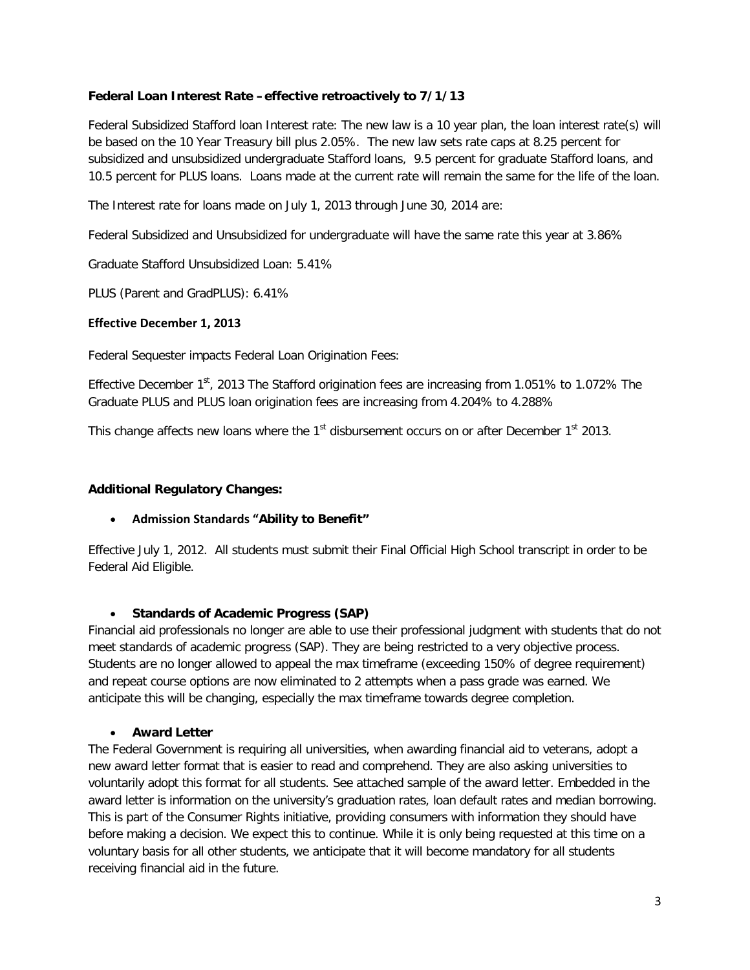## **Federal Loan Interest Rate –effective retroactively to 7/1/13**

Federal Subsidized Stafford loan Interest rate: The new law is a 10 year plan, the loan interest rate(s) will be based on the 10 Year Treasury bill plus 2.05%. The new law sets rate caps at 8.25 percent for subsidized and unsubsidized undergraduate Stafford loans, 9.5 percent for graduate Stafford loans, and 10.5 percent for PLUS loans. Loans made at the current rate will remain the same for the life of the loan.

The Interest rate for loans made on July 1, 2013 through June 30, 2014 are:

Federal Subsidized and Unsubsidized for undergraduate will have the same rate this year at 3.86%

Graduate Stafford Unsubsidized Loan: 5.41%

PLUS (Parent and GradPLUS): 6.41%

## **Effective December 1, 2013**

Federal Sequester impacts Federal Loan Origination Fees:

Effective December 1<sup>st</sup>, 2013 The Stafford origination fees are increasing from 1.051% to 1.072% The Graduate PLUS and PLUS loan origination fees are increasing from 4.204% to 4.288%

This change affects new loans where the 1<sup>st</sup> disbursement occurs on or after December 1<sup>st</sup> 2013.

## **Additional Regulatory Changes:**

# • **Admission Standards "Ability to Benefit"**

Effective July 1, 2012. All students must submit their Final Official High School transcript in order to be Federal Aid Eligible.

# • **Standards of Academic Progress (SAP)**

Financial aid professionals no longer are able to use their professional judgment with students that do not meet standards of academic progress (SAP). They are being restricted to a very objective process. Students are no longer allowed to appeal the max timeframe (exceeding 150% of degree requirement) and repeat course options are now eliminated to 2 attempts when a pass grade was earned. We anticipate this will be changing, especially the max timeframe towards degree completion.

#### • **Award Letter**

The Federal Government is requiring all universities, when awarding financial aid to veterans, adopt a new award letter format that is easier to read and comprehend. They are also asking universities to voluntarily adopt this format for all students. See attached sample of the award letter. Embedded in the award letter is information on the university's graduation rates, loan default rates and median borrowing. This is part of the Consumer Rights initiative, providing consumers with information they should have before making a decision. We expect this to continue. While it is only being requested at this time on a voluntary basis for all other students, we anticipate that it will become mandatory for all students receiving financial aid in the future.